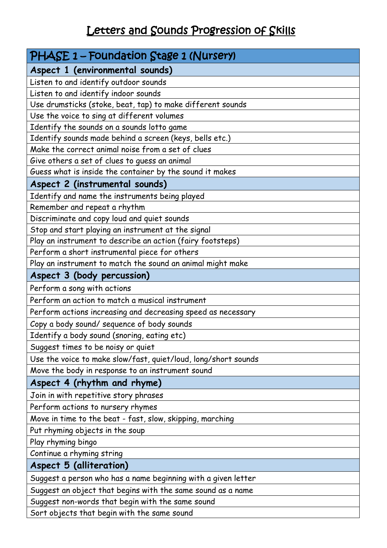## Letters and Sounds Progression of Skills

| PHASE 1 - Foundation Stage 1 (Nursery)                         |
|----------------------------------------------------------------|
| Aspect 1 (environmental sounds)                                |
| Listen to and identify outdoor sounds                          |
| Listen to and identify indoor sounds                           |
| Use drumsticks (stoke, beat, tap) to make different sounds     |
| Use the voice to sing at different volumes                     |
| Identify the sounds on a sounds lotto game                     |
| Identify sounds made behind a screen (keys, bells etc.)        |
| Make the correct animal noise from a set of clues              |
| Give others a set of clues to guess an animal                  |
| Guess what is inside the container by the sound it makes       |
| Aspect 2 (instrumental sounds)                                 |
| Identify and name the instruments being played                 |
| Remember and repeat a rhythm                                   |
| Discriminate and copy loud and quiet sounds                    |
| Stop and start playing an instrument at the signal             |
| Play an instrument to describe an action (fairy footsteps)     |
| Perform a short instrumental piece for others                  |
| Play an instrument to match the sound an animal might make     |
| Aspect 3 (body percussion)                                     |
| Perform a song with actions                                    |
| Perform an action to match a musical instrument                |
| Perform actions increasing and decreasing speed as necessary   |
| Copy a body sound/ sequence of body sounds                     |
| Identify a body sound (snoring, eating etc)                    |
| Suggest times to be noisy or quiet                             |
| Use the voice to make slow/fast, quiet/loud, long/short sounds |
| Move the body in response to an instrument sound               |
| Aspect 4 (rhythm and rhyme)                                    |
| Join in with repetitive story phrases                          |
| Perform actions to nursery rhymes                              |
| Move in time to the beat - fast, slow, skipping, marching      |
| Put rhyming objects in the soup                                |
| Play rhyming bingo                                             |
| Continue a rhyming string                                      |
| Aspect 5 (alliteration)                                        |
| Suggest a person who has a name beginning with a given letter  |
| Suggest an object that begins with the same sound as a name    |
| Suggest non-words that begin with the same sound               |

Sort objects that begin with the same sound